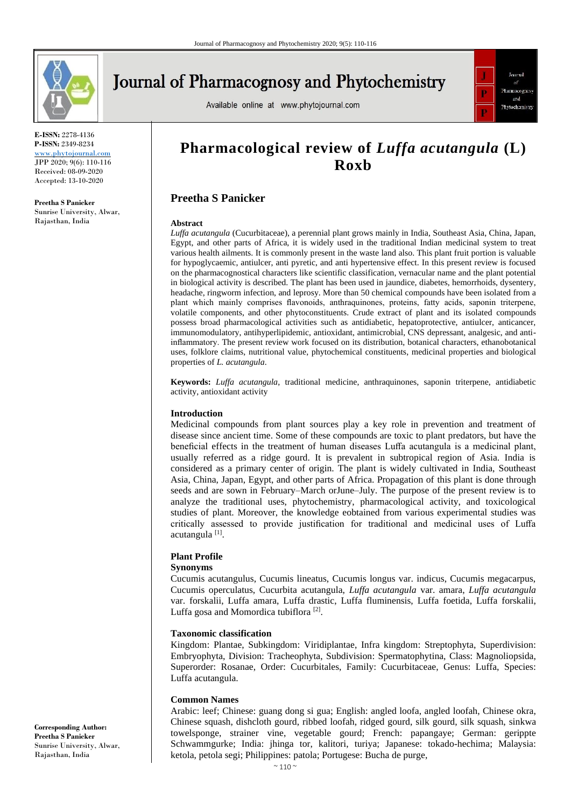

# **Journal of Pharmacognosy and Phytochemistry**

Available online at www.phytojournal.com



**E-ISSN:** 2278-4136 **P-ISSN:** 2349-8234 [www.phytojournal.com](http://www.phytojournal.com/) JPP 2020; 9(6): 110-116 Received: 08-09-2020 Accepted: 13-10-2020

**Preetha S Panicker** Sunrise University, Alwar, Rajasthan, India

## **Pharmacological review of** *Luffa acutangula* **(L) Roxb**

#### **Preetha S Panicker**

#### **Abstract**

*Luffa acutangula* (Cucurbitaceae), a perennial plant grows mainly in India, Southeast Asia, China, Japan, Egypt, and other parts of Africa, it is widely used in the traditional Indian medicinal system to treat various health ailments. It is commonly present in the waste land also. This plant fruit portion is valuable for hypoglycaemic, antiulcer, anti pyretic, and anti hypertensive effect. In this present review is focused on the pharmacognostical characters like scientific classification, vernacular name and the plant potential in biological activity is described. The plant has been used in jaundice, diabetes, hemorrhoids, dysentery, headache, ringworm infection, and leprosy. More than 50 chemical compounds have been isolated from a plant which mainly comprises flavonoids, anthraquinones, proteins, fatty acids, saponin triterpene, volatile components, and other phytoconstituents. Crude extract of plant and its isolated compounds possess broad pharmacological activities such as antidiabetic, hepatoprotective, antiulcer, anticancer, immunomodulatory, antihyperlipidemic, antioxidant, antimicrobial, CNS depressant, analgesic, and antiinflammatory. The present review work focused on its distribution, botanical characters, ethanobotanical uses, folklore claims, nutritional value, phytochemical constituents, medicinal properties and biological properties of *L. acutangula*.

**Keywords:** *Luffa acutangula*, traditional medicine, anthraquinones, saponin triterpene, antidiabetic activity, antioxidant activity

#### **Introduction**

Medicinal compounds from plant sources play a key role in prevention and treatment of disease since ancient time. Some of these compounds are toxic to plant predators, but have the beneficial effects in the treatment of human diseases Luffa acutangula is a medicinal plant, usually referred as a ridge gourd. It is prevalent in subtropical region of Asia. India is considered as a primary center of origin. The plant is widely cultivated in India, Southeast Asia, China, Japan, Egypt, and other parts of Africa. Propagation of this plant is done through seeds and are sown in February–March orJune–July. The purpose of the present review is to analyze the traditional uses, phytochemistry, pharmacological activity, and toxicological studies of plant. Moreover, the knowledge eobtained from various experimental studies was critically assessed to provide justification for traditional and medicinal uses of Luffa acutangula<sup>[1]</sup>.

### **Plant Profile**

#### **Synonyms**

Cucumis acutangulus, Cucumis lineatus, Cucumis longus var. indicus, Cucumis megacarpus, Cucumis operculatus, Cucurbita acutangula, *Luffa acutangula* var. amara, *Luffa acutangula*  var. forskalii, Luffa amara, Luffa drastic, Luffa fluminensis, Luffa foetida, Luffa forskalii, Luffa gosa and Momordica tubiflora<sup>[2]</sup>.

#### **Taxonomic classification**

Kingdom: Plantae, Subkingdom: Viridiplantae, Infra kingdom: Streptophyta, Superdivision: Embryophyta, Division: Tracheophyta, Subdivision: Spermatophytina, Class: Magnoliopsida, Superorder: Rosanae, Order: Cucurbitales, Family: Cucurbitaceae, Genus: Luffa, Species: Luffa acutangula.

#### **Common Names**

Arabic: leef; Chinese: guang dong si gua; English: angled loofa, angled loofah, Chinese okra, Chinese squash, dishcloth gourd, ribbed loofah, ridged gourd, silk gourd, silk squash, sinkwa towelsponge, strainer vine, vegetable gourd; French: papangaye; German: gerippte Schwammgurke; India: jhinga tor, kalitori, turiya; Japanese: tokado-hechima; Malaysia: ketola, petola segi; Philippines: patola; Portugese: Bucha de purge,

**Corresponding Author: Preetha S Panicker** Sunrise University, Alwar, Rajasthan, India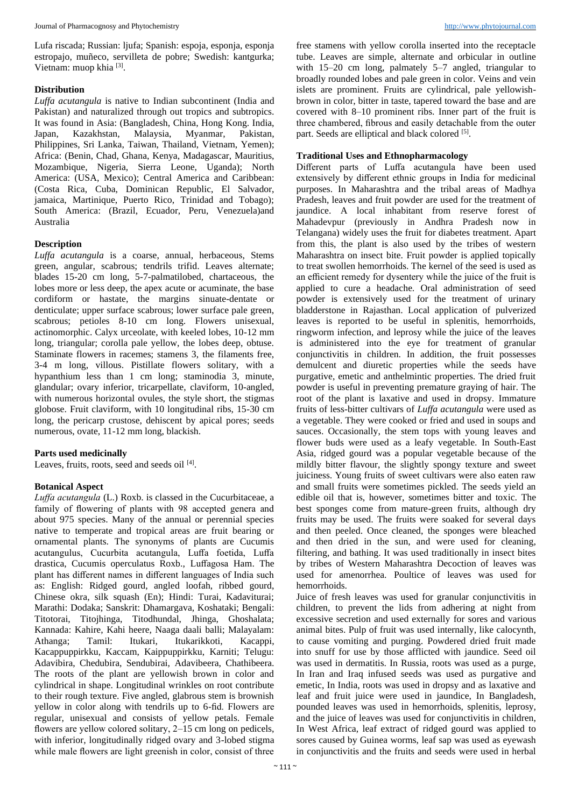Lufa riscada; Russian: ljufa; Spanish: espoja, esponja, esponja estropajo, muñeco, servilleta de pobre; Swedish: kantgurka; Vietnam: muop khia <a>[3]</a>.

#### **Distribution**

*Luffa acutangula* is native to Indian subcontinent (India and Pakistan) and naturalized through out tropics and subtropics. It was found in Asia: (Bangladesh, China, Hong Kong. India, Japan, Kazakhstan, Malaysia, Myanmar, Pakistan, Philippines, Sri Lanka, Taiwan, Thailand, Vietnam, Yemen); Africa: (Benin, Chad, Ghana, Kenya, Madagascar, Mauritius, Mozambique, Nigeria, Sierra Leone, Uganda); North America: (USA, Mexico); Central America and Caribbean: (Costa Rica, Cuba, Dominican Republic, El Salvador, jamaica, Martinique, Puerto Rico, Trinidad and Tobago); South America: (Brazil, Ecuador, Peru, Venezuela)and Australia

#### **Description**

*Luffa acutangula* is a coarse, annual, herbaceous, Stems green, angular, scabrous; tendrils trifid. Leaves alternate; blades 15-20 cm long, 5-7-palmatilobed, chartaceous, the lobes more or less deep, the apex acute or acuminate, the base cordiform or hastate, the margins sinuate-dentate or denticulate; upper surface scabrous; lower surface pale green, scabrous; petioles 8-10 cm long. Flowers unisexual, actinomorphic. Calyx urceolate, with keeled lobes, 10-12 mm long, triangular; corolla pale yellow, the lobes deep, obtuse. Staminate flowers in racemes; stamens 3, the filaments free, 3-4 m long, villous. Pistillate flowers solitary, with a hypanthium less than 1 cm long; staminodia 3, minute, glandular; ovary inferior, tricarpellate, claviform, 10-angled, with numerous horizontal ovules, the style short, the stigmas globose. Fruit claviform, with 10 longitudinal ribs, 15-30 cm long, the pericarp crustose, dehiscent by apical pores; seeds numerous, ovate, 11-12 mm long, blackish.

#### **Parts used medicinally**

Leaves, fruits, roots, seed and seeds oil [4].

#### **Botanical Aspect**

*Luffa acutangula* (L.) Roxb. is classed in the Cucurbitaceae, a family of flowering of plants with 98 accepted genera and about 975 species. Many of the annual or perennial species native to temperate and tropical areas are fruit bearing or ornamental plants. The synonyms of plants are Cucumis acutangulus, Cucurbita acutangula, Luffa foetida, Luffa drastica, Cucumis operculatus Roxb., Luffagosa Ham. The plant has different names in different languages of India such as: English: Ridged gourd, angled loofah, ribbed gourd, Chinese okra, silk squash (En); Hindi: Turai, Kadaviturai; Marathi: Dodaka; Sanskrit: Dhamargava, Koshataki; Bengali: Titotorai, Titojhinga, Titodhundal, Jhinga, Ghoshalata; Kannada: Kahire, Kahi heere, Naaga daali balli; Malayalam: Athanga; Tamil: Itukari, Itukarikkoti, Kacappi, Kacappuppirkku, Kaccam, Kaippuppirkku, Karniti; Telugu: Adavibira, Chedubira, Sendubirai, Adavibeera, Chathibeera. The roots of the plant are yellowish brown in color and cylindrical in shape. Longitudinal wrinkles on root contribute to their rough texture. Five angled, glabrous stem is brownish yellow in color along with tendrils up to 6-fid. Flowers are regular, unisexual and consists of yellow petals. Female flowers are yellow colored solitary, 2–15 cm long on pedicels, with inferior, longitudinally ridged ovary and 3-lobed stigma while male flowers are light greenish in color, consist of three

free stamens with yellow corolla inserted into the receptacle tube. Leaves are simple, alternate and orbicular in outline with 15–20 cm long, palmately 5–7 angled, triangular to broadly rounded lobes and pale green in color. Veins and vein islets are prominent. Fruits are cylindrical, pale yellowishbrown in color, bitter in taste, tapered toward the base and are covered with 8–10 prominent ribs. Inner part of the fruit is three chambered, fibrous and easily detachable from the outer part. Seeds are elliptical and black colored [5].

#### **Traditional Uses and Ethnopharmacology**

Different parts of Luffa acutangula have been used extensively by different ethnic groups in India for medicinal purposes. In Maharashtra and the tribal areas of Madhya Pradesh, leaves and fruit powder are used for the treatment of jaundice. A local inhabitant from reserve forest of Mahadevpur (previously in Andhra Pradesh now in Telangana) widely uses the fruit for diabetes treatment. Apart from this, the plant is also used by the tribes of western Maharashtra on insect bite. Fruit powder is applied topically to treat swollen hemorrhoids. The kernel of the seed is used as an efficient remedy for dysentery while the juice of the fruit is applied to cure a headache. Oral administration of seed powder is extensively used for the treatment of urinary bladderstone in Rajasthan. Local application of pulverized leaves is reported to be useful in splenitis, hemorrhoids, ringworm infection, and leprosy while the juice of the leaves is administered into the eye for treatment of granular conjunctivitis in children. In addition, the fruit possesses demulcent and diuretic properties while the seeds have purgative, emetic and anthelmintic properties. The dried fruit powder is useful in preventing premature graying of hair. The root of the plant is laxative and used in dropsy. Immature fruits of less-bitter cultivars of *Luffa acutangula* were used as a vegetable. They were cooked or fried and used in soups and sauces. Occasionally, the stem tops with young leaves and flower buds were used as a leafy vegetable. In South-East Asia, ridged gourd was a popular vegetable because of the mildly bitter flavour, the slightly spongy texture and sweet juiciness. Young fruits of sweet cultivars were also eaten raw and small fruits were sometimes pickled. The seeds yield an edible oil that is, however, sometimes bitter and toxic. The best sponges come from mature-green fruits, although dry fruits may be used. The fruits were soaked for several days and then peeled. Once cleaned, the sponges were bleached and then dried in the sun, and were used for cleaning, filtering, and bathing. It was used traditionally in insect bites by tribes of Western Maharashtra Decoction of leaves was used for amenorrhea. Poultice of leaves was used for hemorrhoids.

Juice of fresh leaves was used for granular conjunctivitis in children, to prevent the lids from adhering at night from excessive secretion and used externally for sores and various animal bites. Pulp of fruit was used internally, like calocynth, to cause vomiting and purging. Powdered dried fruit made into snuff for use by those afflicted with jaundice. Seed oil was used in dermatitis. In Russia, roots was used as a purge, In Iran and Iraq infused seeds was used as purgative and emetic, In India, roots was used in dropsy and as laxative and leaf and fruit juice were used in jaundice, In Bangladesh, pounded leaves was used in hemorrhoids, splenitis, leprosy, and the juice of leaves was used for conjunctivitis in children, In West Africa, leaf extract of ridged gourd was applied to sores caused by Guinea worms, leaf sap was used as eyewash in conjunctivitis and the fruits and seeds were used in herbal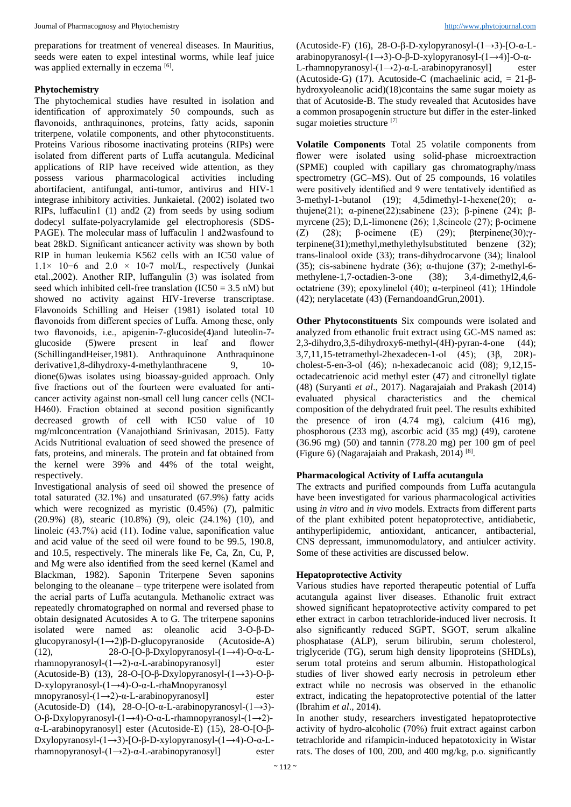preparations for treatment of venereal diseases. In Mauritius, seeds were eaten to expel intestinal worms, while leaf juice was applied externally in eczema [6].

#### **Phytochemistry**

The phytochemical studies have resulted in isolation and identification of approximately 50 compounds, such as flavonoids, anthraquinones, proteins, fatty acids, saponin triterpene, volatile components, and other phytoconstituents. Proteins Various ribosome inactivating proteins (RIPs) were isolated from different parts of Luffa acutangula. Medicinal applications of RIP have received wide attention, as they possess various pharmacological activities including abortifacient, antifungal, anti-tumor, antivirus and HIV-1 integrase inhibitory activities. Junkaietal. (2002) isolated two RIPs, luffaculin1 (1) and2 (2) from seeds by using sodium dodecyl sulfate-polyacrylamide gel electrophoresis (SDS-PAGE). The molecular mass of luffaculin 1 and2wasfound to beat 28kD. Significant anticancer activity was shown by both RIP in human leukemia K562 cells with an IC50 value of 1.1× 10−6 and 2.0 × 10◦7 mol/L, respectively (Junkai etal.,2002). Another RIP, luffangulin (3) was isolated from seed which inhibited cell-free translation  $(IC50 = 3.5 \text{ nM})$  but showed no activity against HIV-1reverse transcriptase. Flavonoids Schilling and Heiser (1981) isolated total 10 flavonoids from different species of Luffa. Among these, only two flavonoids, i.e., apigenin-7-glucoside(4)and luteolin-7 glucoside (5)were present in leaf and flower (SchillingandHeiser,1981). Anthraquinone Anthraquinone derivative1,8-dihydroxy-4-methylanthracene 9, 10dione(6)was isolates using bioassay-guided approach. Only five fractions out of the fourteen were evaluated for anticancer activity against non-small cell lung cancer cells (NCI-H460). Fraction obtained at second position significantly decreased growth of cell with IC50 value of 10 mg/mlconcentration (Vanajothiand Srinivasan, 2015). Fatty Acids Nutritional evaluation of seed showed the presence of fats, proteins, and minerals. The protein and fat obtained from the kernel were 39% and 44% of the total weight, respectively.

Investigational analysis of seed oil showed the presence of total saturated (32.1%) and unsaturated (67.9%) fatty acids which were recognized as myristic  $(0.45\%)$  (7), palmitic (20.9%) (8), stearic (10.8%) (9), oleic (24.1%) (10), and linoleic (43.7%) acid (11). Iodine value, saponification value and acid value of the seed oil were found to be 99.5, 190.8, and 10.5, respectively. The minerals like Fe, Ca, Zn, Cu, P, and Mg were also identified from the seed kernel (Kamel and Blackman, 1982). Saponin Triterpene Seven saponins belonging to the oleanane – type triterpene were isolated from the aerial parts of Luffa acutangula. Methanolic extract was repeatedly chromatographed on normal and reversed phase to obtain designated Acutosides A to G. The triterpene saponins isolated were named as: oleanolic acid 3-O-β-Dglucopyranosyl-(1→2)β-D-glucopyranoside (Acutoside-A) (12), 28-O-[O-β-Dxylopyranosyl-(1→4)-O-α-Lrhamnopyranosyl- $(1\rightarrow 2)$ -α-L-arabinopyranosyl] ester (Acutoside-B) (13), 28-O-[O-β-Dxylopyranosyl-(1→3)-O-β-D-xylopyranosyl-(1→4)-O-α-L-rhaMnopyranosyl mnopyranosyl-(1→2)-α-L-arabinopyranosyl] ester (Acutoside-D) (14), 28-O-[O-α-L-arabinopyranosyl-(1→3)- O-β-Dxylopyranosyl-(1→4)-O-α-L-rhamnopyranosyl-(1→2)-

α-L-arabinopyranosyl] ester (Acutoside-E) (15), 28-O-[O-β-Dxylopyranosyl-(1→3)-[O-β-D-xylopyranosyl-(1→4)-O-α-Lrhamnopyranosyl- $(1\rightarrow 2)$ -α-L-arabinopyranosyl] ester

(Acutoside-F) (16), 28-O-β-D-xylopyranosyl-(1→3)-[O-α-Larabinopyranosyl-(1→3)-O-β-D-xylopyranosyl-(1→4)]-O-α-L-rhamnopyranosyl-(1→2)-α-L-arabinopyranosyl] ester (Acutoside-G) (17). Acutoside-C (machaelinic acid, = 21-βhydroxyoleanolic acid)(18)contains the same sugar moiety as that of Acutoside-B. The study revealed that Acutosides have a common prosapogenin structure but differ in the ester-linked sugar moieties structure [7]

**Volatile Components** Total 25 volatile components from flower were isolated using solid-phase microextraction (SPME) coupled with capillary gas chromatography/mass spectrometry (GC–MS). Out of 25 compounds, 16 volatiles were positively identified and 9 were tentatively identified as 3-methyl-1-butanol (19);  $4,5$ dimethyl-1-hexene(20);  $\alpha$ thujene(21); α-pinene(22);sabinene (23); β-pinene (24); βmyrcene (25); D,L-limonene (26); 1,8cineole (27); β-ocimene (Z) (28); β-ocimene (E) (29); βterpinene(30);γterpinene(31);methyl,methylethylsubstituted benzene (32); trans-linalool oxide (33); trans-dihydrocarvone (34); linalool (35); cis-sabinene hydrate (36);  $\alpha$ -thujone (37); 2-methyl-6methylene-1,7-octadien-3-one (38); 3,4-dimethyl2,4,6 octatriene (39); epoxylinelol (40); α-terpineol (41); 1Hindole (42); nerylacetate (43) (FernandoandGrun,2001).

**Other Phytoconstituents** Six compounds were isolated and analyzed from ethanolic fruit extract using GC-MS named as:  $2,3$ -dihydro, $3,5$ -dihydroxy6-methyl-(4H)-pyran-4-one (44); 3,7,11,15-tetramethyl-2hexadecen-1-ol (45); (3β, 20R) cholest-5-en-3-ol (46); n-hexadecanoic acid (08); 9,12,15 octadecatrienoic acid methyl ester (47) and citronellyl tiglate (48) (Suryanti *et al*., 2017). Nagarajaiah and Prakash (2014) evaluated physical characteristics and the chemical composition of the dehydrated fruit peel. The results exhibited the presence of iron (4.74 mg), calcium (416 mg), phosphorous (233 mg), ascorbic acid (35 mg) (49), carotene (36.96 mg) (50) and tannin (778.20 mg) per 100 gm of peel (Figure 6) (Nagarajaiah and Prakash, 2014)<sup>[8]</sup>.

#### **Pharmacological Activity of Luffa acutangula**

The extracts and purified compounds from Luffa acutangula have been investigated for various pharmacological activities using *in vitro* and *in vivo* models. Extracts from different parts of the plant exhibited potent hepatoprotective, antidiabetic, antihyperlipidemic, antioxidant, anticancer, antibacterial, CNS depressant, immunomodulatory, and antiulcer activity. Some of these activities are discussed below.

#### **Hepatoprotective Activity**

Various studies have reported therapeutic potential of Luffa acutangula against liver diseases. Ethanolic fruit extract showed significant hepatoprotective activity compared to pet ether extract in carbon tetrachloride-induced liver necrosis. It also significantly reduced SGPT, SGOT, serum alkaline phosphatase (ALP), serum bilirubin, serum cholesterol, triglyceride (TG), serum high density lipoproteins (SHDLs), serum total proteins and serum albumin. Histopathological studies of liver showed early necrosis in petroleum ether extract while no necrosis was observed in the ethanolic extract, indicating the hepatoprotective potential of the latter (Ibrahim *et al*., 2014).

In another study, researchers investigated hepatoprotective activity of hydro-alcoholic (70%) fruit extract against carbon tetrachloride and rifampicin-induced hepatotoxicity in Wistar rats. The doses of 100, 200, and 400 mg/kg, p.o. significantly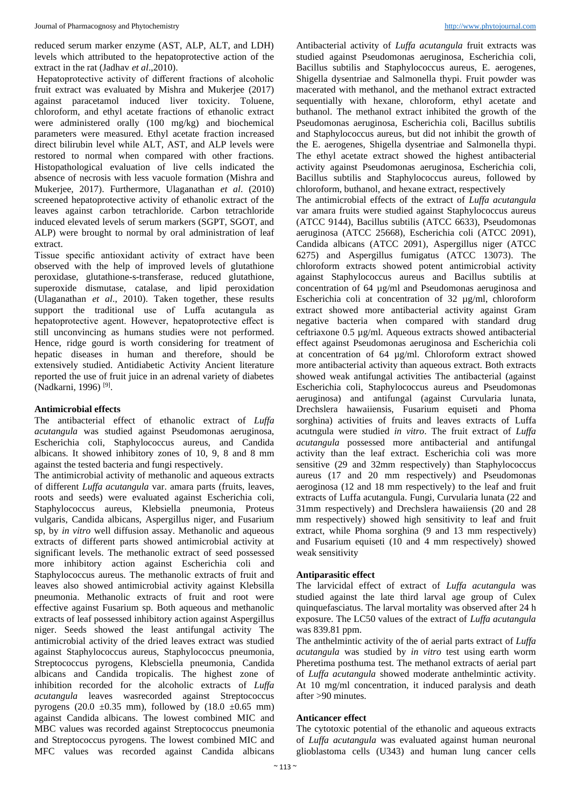reduced serum marker enzyme (AST, ALP, ALT, and LDH) levels which attributed to the hepatoprotective action of the extract in the rat (Jadhav *et al*.,2010).

Hepatoprotective activity of different fractions of alcoholic fruit extract was evaluated by Mishra and Mukerjee (2017) against paracetamol induced liver toxicity. Toluene, chloroform, and ethyl acetate fractions of ethanolic extract were administered orally (100 mg/kg) and biochemical parameters were measured. Ethyl acetate fraction increased direct bilirubin level while ALT, AST, and ALP levels were restored to normal when compared with other fractions. Histopathological evaluation of live cells indicated the absence of necrosis with less vacuole formation (Mishra and Mukerjee, 2017). Furthermore, Ulaganathan *et al*. (2010) screened hepatoprotective activity of ethanolic extract of the leaves against carbon tetrachloride. Carbon tetrachloride induced elevated levels of serum markers (SGPT, SGOT, and ALP) were brought to normal by oral administration of leaf extract.

Tissue specific antioxidant activity of extract have been observed with the help of improved levels of glutathione peroxidase, glutathione-s-transferase, reduced glutathione, superoxide dismutase, catalase, and lipid peroxidation (Ulaganathan *et al*., 2010). Taken together, these results support the traditional use of Luffa acutangula as hepatoprotective agent. However, hepatoprotective effect is still unconvincing as humans studies were not performed. Hence, ridge gourd is worth considering for treatment of hepatic diseases in human and therefore, should be extensively studied. Antidiabetic Activity Ancient literature reported the use of fruit juice in an adrenal variety of diabetes (Nadkarni, 1996)<sup>[9]</sup>.

#### **Antimicrobial effects**

The antibacterial effect of ethanolic extract of *Luffa acutangula* was studied against Pseudomonas aeruginosa, Escherichia coli, Staphylococcus aureus, and Candida albicans. It showed inhibitory zones of 10, 9, 8 and 8 mm against the tested bacteria and fungi respectively.

The antimicrobial activity of methanolic and aqueous extracts of different *Luffa acutangula* var. amara parts (fruits, leaves, roots and seeds) were evaluated against Escherichia coli, Staphylococcus aureus, Klebsiella pneumonia, Proteus vulgaris, Candida albicans, Aspergillus niger, and Fusarium sp, by *in vitro* well diffusion assay. Methanolic and aqueous extracts of different parts showed antimicrobial activity at significant levels. The methanolic extract of seed possessed more inhibitory action against Escherichia coli and Staphylococcus aureus. The methanolic extracts of fruit and leaves also showed antimicrobial activity against Klebsilla pneumonia. Methanolic extracts of fruit and root were effective against Fusarium sp. Both aqueous and methanolic extracts of leaf possessed inhibitory action against Aspergillus niger. Seeds showed the least antifungal activity The antimicrobial activity of the dried leaves extract was studied against Staphylococcus aureus, Staphylococcus pneumonia, Streptococcus pyrogens, Klebsciella pneumonia, Candida albicans and Candida tropicalis. The highest zone of inhibition recorded for the alcoholic extracts of *Luffa acutangula* leaves wasrecorded against Streptococcus pyrogens (20.0  $\pm$ 0.35 mm), followed by (18.0  $\pm$ 0.65 mm) against Candida albicans. The lowest combined MIC and MBC values was recorded against Streptococcus pneumonia and Streptococcus pyrogens. The lowest combined MIC and MFC values was recorded against Candida albicans

Antibacterial activity of *Luffa acutangula* fruit extracts was studied against Pseudomonas aeruginosa, Escherichia coli, Bacillus subtilis and Staphylococcus aureus, E. aerogenes, Shigella dysentriae and Salmonella thypi. Fruit powder was macerated with methanol, and the methanol extract extracted sequentially with hexane, chloroform, ethyl acetate and buthanol. The methanol extract inhibited the growth of the Pseudomonas aeruginosa, Escherichia coli, Bacillus subtilis and Staphylococcus aureus, but did not inhibit the growth of the E. aerogenes, Shigella dysentriae and Salmonella thypi. The ethyl acetate extract showed the highest antibacterial activity against Pseudomonas aeruginosa, Escherichia coli, Bacillus subtilis and Staphylococcus aureus, followed by chloroform, buthanol, and hexane extract, respectively

The antimicrobial effects of the extract of *Luffa acutangula*  var amara fruits were studied against Staphylococcus aureus (ATCC 9144), Bacillus subtilis (ATCC 6633), Pseudomonas aeruginosa (ATCC 25668), Escherichia coli (ATCC 2091), Candida albicans (ATCC 2091), Aspergillus niger (ATCC 6275) and Aspergillus fumigatus (ATCC 13073). The chloroform extracts showed potent antimicrobial activity against Staphylococcus aureus and Bacillus subtilis at concentration of 64 µg/ml and Pseudomonas aeruginosa and Escherichia coli at concentration of 32 µg/ml, chloroform extract showed more antibacterial activity against Gram negative bacteria when compared with standard drug ceftriaxone 0.5 µg/ml. Aqueous extracts showed antibacterial effect against Pseudomonas aeruginosa and Escherichia coli at concentration of 64 µg/ml. Chloroform extract showed more antibacterial activity than aqueous extract. Both extracts showed weak antifungal activities The antibacterial (against Escherichia coli, Staphylococcus aureus and Pseudomonas aeruginosa) and antifungal (against Curvularia lunata, Drechslera hawaiiensis, Fusarium equiseti and Phoma sorghina) activities of fruits and leaves extracts of Luffa acutngula were studied *in vitro*. The fruit extract of *Luffa acutangula* possessed more antibacterial and antifungal activity than the leaf extract. Escherichia coli was more sensitive (29 and 32mm respectively) than Staphylococcus aureus (17 and 20 mm respectively) and Pseudomonas aeroginosa (12 and 18 mm respectively) to the leaf and fruit extracts of Luffa acutangula. Fungi, Curvularia lunata (22 and 31mm respectively) and Drechslera hawaiiensis (20 and 28 mm respectively) showed high sensitivity to leaf and fruit extract, while Phoma sorghina (9 and 13 mm respectively) and Fusarium equiseti (10 and 4 mm respectively) showed weak sensitivity

#### **Antiparasitic effect**

The larvicidal effect of extract of *Luffa acutangula* was studied against the late third larval age group of Culex quinquefasciatus. The larval mortality was observed after 24 h exposure. The LC50 values of the extract of *Luffa acutangula*  was 839.81 ppm.

The anthelmintic activity of the of aerial parts extract of *Luffa acutangula* was studied by *in vitro* test using earth worm Pheretima posthuma test. The methanol extracts of aerial part of *Luffa acutangula* showed moderate anthelmintic activity. At 10 mg/ml concentration, it induced paralysis and death after >90 minutes.

#### **Anticancer effect**

The cytotoxic potential of the ethanolic and aqueous extracts of *Luffa acutangula* was evaluated against human neuronal glioblastoma cells (U343) and human lung cancer cells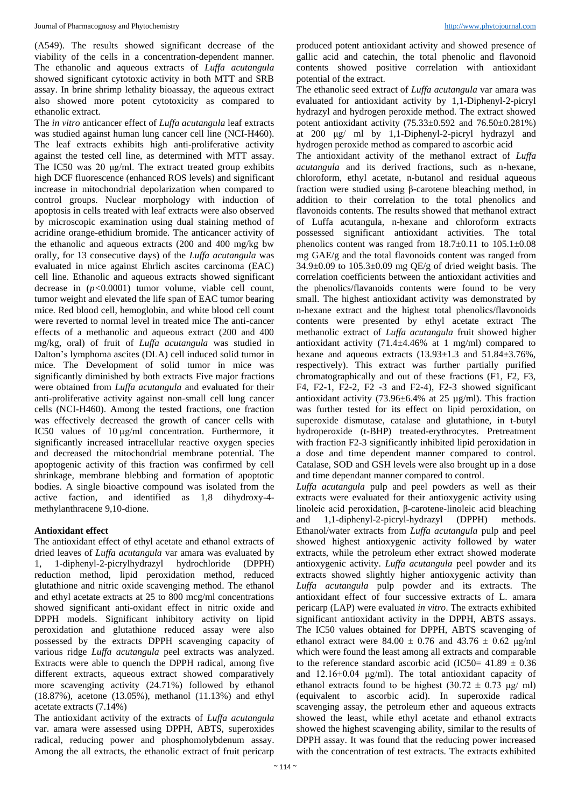(A549). The results showed significant decrease of the viability of the cells in a concentration-dependent manner. The ethanolic and aqueous extracts of *Luffa acutangula*  showed significant cytotoxic activity in both MTT and SRB assay. In brine shrimp lethality bioassay, the aqueous extract also showed more potent cytotoxicity as compared to ethanolic extract.

The *in vitro* anticancer effect of *Luffa acutangula* leaf extracts was studied against human lung cancer cell line (NCI-H460). The leaf extracts exhibits high anti-proliferative activity against the tested cell line, as determined with MTT assay. The IC50 was 20 μg/ml. The extract treated group exhibits high DCF fluorescence (enhanced ROS levels) and significant increase in mitochondrial depolarization when compared to control groups. Nuclear morphology with induction of apoptosis in cells treated with leaf extracts were also observed by microscopic examination using dual staining method of acridine orange-ethidium bromide. The anticancer activity of the ethanolic and aqueous extracts (200 and 400 mg/kg bw orally, for 13 consecutive days) of the *Luffa acutangula* was evaluated in mice against Ehrlich ascites carcinoma (EAC) cell line. Ethanolic and aqueous extracts showed significant decrease in (*p<*0.0001) tumor volume, viable cell count, tumor weight and elevated the life span of EAC tumor bearing mice. Red blood cell, hemoglobin, and white blood cell count were reverted to normal level in treated mice The anti-cancer effects of a methanolic and aqueous extract (200 and 400 mg/kg, oral) of fruit of *Luffa acutangula* was studied in Dalton's lymphoma ascites (DLA) cell induced solid tumor in mice. The Development of solid tumor in mice was significantly diminished by both extracts Five major fractions were obtained from *Luffa acutangula* and evaluated for their anti-proliferative activity against non-small cell lung cancer cells (NCI-H460). Among the tested fractions, one fraction was effectively decreased the growth of cancer cells with IC50 values of 10 µg/ml concentration. Furthermore, it significantly increased intracellular reactive oxygen species and decreased the mitochondrial membrane potential. The apoptogenic activity of this fraction was confirmed by cell shrinkage, membrane blebbing and formation of apoptotic bodies. A single bioactive compound was isolated from the active faction, and identified as 1,8 dihydroxy-4 methylanthracene 9,10-dione.

#### **Antioxidant effect**

The antioxidant effect of ethyl acetate and ethanol extracts of dried leaves of *Luffa acutangula* var amara was evaluated by 1, 1-diphenyl-2-picrylhydrazyl hydrochloride (DPPH) reduction method, lipid peroxidation method, reduced glutathione and nitric oxide scavenging method. The ethanol and ethyl acetate extracts at 25 to 800 mcg/ml concentrations showed significant anti-oxidant effect in nitric oxide and DPPH models. Significant inhibitory activity on lipid peroxidation and glutathione reduced assay were also possessed by the extracts DPPH scavenging capacity of various ridge *Luffa acutangula* peel extracts was analyzed. Extracts were able to quench the DPPH radical, among five different extracts, aqueous extract showed comparatively more scavenging activity (24.71%) followed by ethanol (18.87%), acetone (13.05%), methanol (11.13%) and ethyl acetate extracts (7.14%)

The antioxidant activity of the extracts of *Luffa acutangula*  var. amara were assessed using DPPH, ABTS, superoxides radical, reducing power and phosphomolybdenum assay. Among the all extracts, the ethanolic extract of fruit pericarp produced potent antioxidant activity and showed presence of gallic acid and catechin, the total phenolic and flavonoid contents showed positive correlation with antioxidant potential of the extract.

The ethanolic seed extract of *Luffa acutangula* var amara was evaluated for antioxidant activity by 1,1-Diphenyl-2-picryl hydrazyl and hydrogen peroxide method. The extract showed potent antioxidant activity  $(75.33 \pm 0.592)$  and  $76.50 \pm 0.281\%$ ) at 200 μg/ ml by 1,1-Diphenyl-2-picryl hydrazyl and hydrogen peroxide method as compared to ascorbic acid

The antioxidant activity of the methanol extract of *Luffa acutangula* and its derived fractions, such as n-hexane, chloroform, ethyl acetate, n-butanol and residual aqueous fraction were studied using β-carotene bleaching method, in addition to their correlation to the total phenolics and flavonoids contents. The results showed that methanol extract of Luffa acutangula, n-hexane and chloroform extracts possessed significant antioxidant activities. The total phenolics content was ranged from  $18.7 \pm 0.11$  to  $105.1 \pm 0.08$ mg GAE/g and the total flavonoids content was ranged from  $34.9\pm0.09$  to  $105.3\pm0.09$  mg QE/g of dried weight basis. The correlation coefficients between the antioxidant activities and the phenolics/flavanoids contents were found to be very small. The highest antioxidant activity was demonstrated by n-hexane extract and the highest total phenolics/flavonoids contents were presented by ethyl acetate extract The methanolic extract of *Luffa acutangula* fruit showed higher antioxidant activity  $(71.4 \pm 4.46\%$  at 1 mg/ml) compared to hexane and aqueous extracts  $(13.93\pm1.3 \text{ and } 51.84\pm3.76\%$ , respectively). This extract was further partially purified chromatographically and out of these fractions (F1, F2, F3, F4, F2-1, F2-2, F2 -3 and F2-4), F2-3 showed significant antioxidant activity  $(73.96 \pm 6.4\%)$  at 25 µg/ml). This fraction was further tested for its effect on lipid peroxidation, on superoxide dismutase, catalase and glutathione, in t-butyl hydroperoxide (t-BHP) treated-erythrocytes. Pretreatment with fraction F2-3 significantly inhibited lipid peroxidation in a dose and time dependent manner compared to control. Catalase, SOD and GSH levels were also brought up in a dose and time dependant manner compared to control.

*Luffa acutangula* pulp and peel powders as well as their extracts were evaluated for their antioxygenic activity using linoleic acid peroxidation, β-carotene-linoleic acid bleaching and 1,1-diphenyl-2-picryl-hydrazyl (DPPH) methods. Ethanol/water extracts from *Luffa acutangula* pulp and peel showed highest antioxygenic activity followed by water extracts, while the petroleum ether extract showed moderate antioxygenic activity. *Luffa acutangula* peel powder and its extracts showed slightly higher antioxygenic activity than *Luffa acutangula* pulp powder and its extracts. The antioxidant effect of four successive extracts of L. amara pericarp (LAP) were evaluated *in vitro*. The extracts exhibited significant antioxidant activity in the DPPH, ABTS assays. The IC50 values obtained for DPPH, ABTS scavenging of ethanol extract were  $84.00 \pm 0.76$  and  $43.76 \pm 0.62$  µg/ml which were found the least among all extracts and comparable to the reference standard ascorbic acid (IC50=  $41.89 \pm 0.36$ ) and 12.16±0.04 μg/ml). The total antioxidant capacity of ethanol extracts found to be highest  $(30.72 \pm 0.73 \text{ µg/ml})$ (equivalent to ascorbic acid). In superoxide radical scavenging assay, the petroleum ether and aqueous extracts showed the least, while ethyl acetate and ethanol extracts showed the highest scavenging ability, similar to the results of DPPH assay. It was found that the reducing power increased with the concentration of test extracts. The extracts exhibited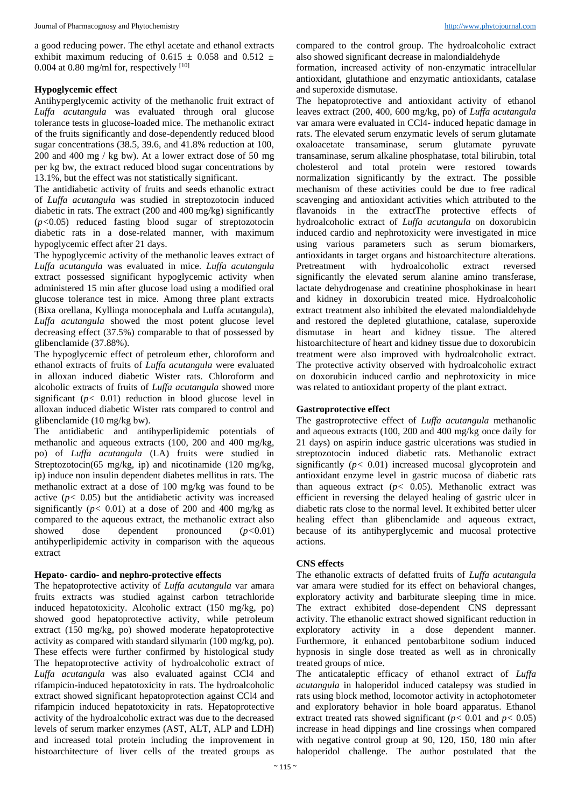a good reducing power. The ethyl acetate and ethanol extracts exhibit maximum reducing of 0.615  $\pm$  0.058 and 0.512  $\pm$ 0.004 at 0.80 mg/ml for, respectively  $[10]$ 

#### **Hypoglycemic effect**

Antihyperglycemic activity of the methanolic fruit extract of *Luffa acutangula* was evaluated through oral glucose tolerance tests in glucose-loaded mice. The methanolic extract of the fruits significantly and dose-dependently reduced blood sugar concentrations (38.5, 39.6, and 41.8% reduction at 100, 200 and 400 mg / kg bw). At a lower extract dose of 50 mg per kg bw, the extract reduced blood sugar concentrations by 13.1%, but the effect was not statistically significant.

The antidiabetic activity of fruits and seeds ethanolic extract of *Luffa acutangula* was studied in streptozotocin induced diabetic in rats. The extract (200 and 400 mg/kg) significantly (*p<*0.05) reduced fasting blood sugar of streptozotocin diabetic rats in a dose-related manner, with maximum hypoglycemic effect after 21 days.

The hypoglycemic activity of the methanolic leaves extract of *Luffa acutangula* was evaluated in mice. *Luffa acutangula*  extract possessed significant hypoglycemic activity when administered 15 min after glucose load using a modified oral glucose tolerance test in mice. Among three plant extracts (Bixa orellana, Kyllinga monocephala and Luffa acutangula), *Luffa acutangula* showed the most potent glucose level decreasing effect (37.5%) comparable to that of possessed by glibenclamide (37.88%).

The hypoglycemic effect of petroleum ether, chloroform and ethanol extracts of fruits of *Luffa acutangula* were evaluated in alloxan induced diabetic Wister rats. Chloroform and alcoholic extracts of fruits of *Luffa acutangula* showed more significant  $(p< 0.01)$  reduction in blood glucose level in alloxan induced diabetic Wister rats compared to control and glibenclamide (10 mg/kg bw).

The antidiabetic and antihyperlipidemic potentials of methanolic and aqueous extracts (100, 200 and 400 mg/kg, po) of *Luffa acutangula* (LA) fruits were studied in Streptozotocin(65 mg/kg, ip) and nicotinamide (120 mg/kg, ip) induce non insulin dependent diabetes mellitus in rats. The methanolic extract at a dose of 100 mg/kg was found to be active  $(p < 0.05)$  but the antidiabetic activity was increased significantly  $(p < 0.01)$  at a dose of 200 and 400 mg/kg as compared to the aqueous extract, the methanolic extract also showed dose dependent pronounced (*p<*0.01) antihyperlipidemic activity in comparison with the aqueous extract

#### **Hepato- cardio- and nephro-protective effects**

The hepatoprotective activity of *Luffa acutangula* var amara fruits extracts was studied against carbon tetrachloride induced hepatotoxicity. Alcoholic extract (150 mg/kg, po) showed good hepatoprotective activity, while petroleum extract (150 mg/kg, po) showed moderate hepatoprotective activity as compared with standard silymarin (100 mg/kg, po). These effects were further confirmed by histological study The hepatoprotective activity of hydroalcoholic extract of *Luffa acutangula* was also evaluated against CCl4 and rifampicin-induced hepatotoxicity in rats. The hydroalcoholic extract showed significant hepatoprotection against CCl4 and rifampicin induced hepatotoxicity in rats. Hepatoprotective activity of the hydroalcoholic extract was due to the decreased levels of serum marker enzymes (AST, ALT, ALP and LDH) and increased total protein including the improvement in histoarchitecture of liver cells of the treated groups as

compared to the control group. The hydroalcoholic extract also showed significant decrease in malondialdehyde

formation, increased activity of non-enzymatic intracellular antioxidant, glutathione and enzymatic antioxidants, catalase and superoxide dismutase.

The hepatoprotective and antioxidant activity of ethanol leaves extract (200, 400, 600 mg/kg, po) of *Luffa acutangula*  var amara were evaluated in CCl4- induced hepatic damage in rats. The elevated serum enzymatic levels of serum glutamate oxaloacetate transaminase, serum glutamate pyruvate transaminase, serum alkaline phosphatase, total bilirubin, total cholesterol and total protein were restored towards normalization significantly by the extract. The possible mechanism of these activities could be due to free radical scavenging and antioxidant activities which attributed to the flavanoids in the extractThe protective effects of hydroalcoholic extract of *Luffa acutangula* on doxorubicin induced cardio and nephrotoxicity were investigated in mice using various parameters such as serum biomarkers, antioxidants in target organs and histoarchitecture alterations. Pretreatment with hydroalcoholic extract reversed significantly the elevated serum alanine amino transferase, lactate dehydrogenase and creatinine phosphokinase in heart and kidney in doxorubicin treated mice. Hydroalcoholic extract treatment also inhibited the elevated malondialdehyde and restored the depleted glutathione, catalase, superoxide dismutase in heart and kidney tissue. The altered histoarchitecture of heart and kidney tissue due to doxorubicin treatment were also improved with hydroalcoholic extract. The protective activity observed with hydroalcoholic extract on doxorubicin induced cardio and nephrotoxicity in mice was related to antioxidant property of the plant extract.

#### **Gastroprotective effect**

The gastroprotective effect of *Luffa acutangula* methanolic and aqueous extracts (100, 200 and 400 mg/kg once daily for 21 days) on aspirin induce gastric ulcerations was studied in streptozotocin induced diabetic rats. Methanolic extract significantly (*p<* 0.01) increased mucosal glycoprotein and antioxidant enzyme level in gastric mucosa of diabetic rats than aqueous extract  $(p < 0.05)$ . Methanolic extract was efficient in reversing the delayed healing of gastric ulcer in diabetic rats close to the normal level. It exhibited better ulcer healing effect than glibenclamide and aqueous extract, because of its antihyperglycemic and mucosal protective actions.

#### **CNS effects**

The ethanolic extracts of defatted fruits of *Luffa acutangula*  var amara were studied for its effect on behavioral changes, exploratory activity and barbiturate sleeping time in mice. The extract exhibited dose-dependent CNS depressant activity. The ethanolic extract showed significant reduction in exploratory activity in a dose dependent manner. Furthermore, it enhanced pentobarbitone sodium induced hypnosis in single dose treated as well as in chronically treated groups of mice.

The anticataleptic efficacy of ethanol extract of *Luffa acutangula* in haloperidol induced catalepsy was studied in rats using block method, locomotor activity in actophotometer and exploratory behavior in hole board apparatus. Ethanol extract treated rats showed significant  $(p < 0.01$  and  $p < 0.05$ ) increase in head dippings and line crossings when compared with negative control group at 90, 120, 150, 180 min after haloperidol challenge. The author postulated that the